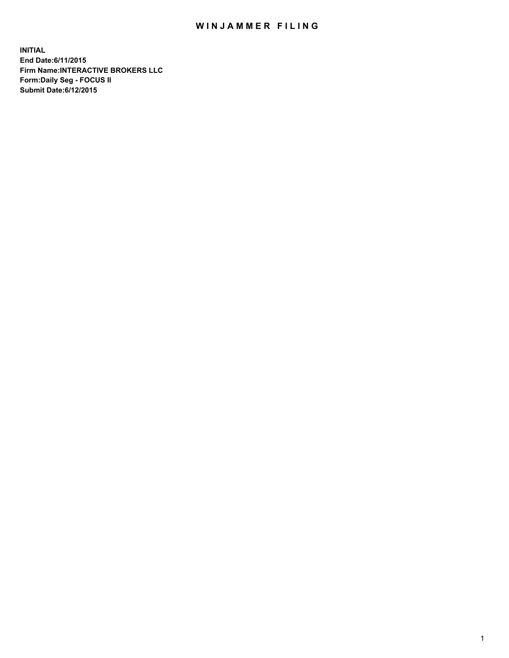## WIN JAMMER FILING

**INITIAL End Date:6/11/2015 Firm Name:INTERACTIVE BROKERS LLC Form:Daily Seg - FOCUS II Submit Date:6/12/2015**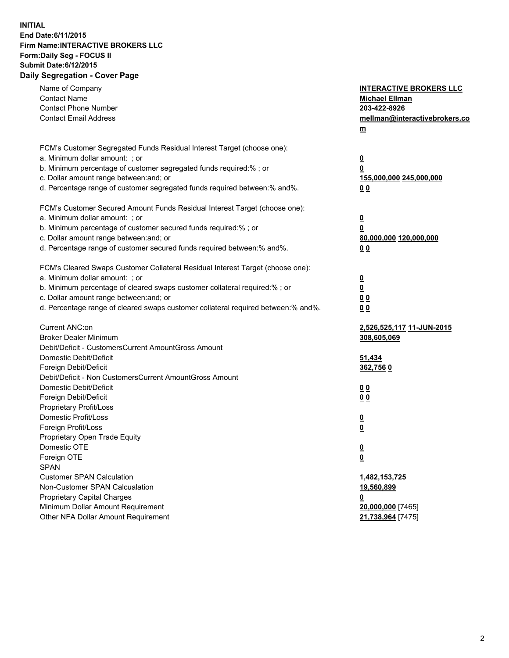## **INITIAL End Date:6/11/2015 Firm Name:INTERACTIVE BROKERS LLC Form:Daily Seg - FOCUS II Submit Date:6/12/2015 Daily Segregation - Cover Page**

| Name of Company                                                                   | <b>INTERACTIVE BROKERS LLC</b> |
|-----------------------------------------------------------------------------------|--------------------------------|
| <b>Contact Name</b>                                                               | <b>Michael Ellman</b>          |
| <b>Contact Phone Number</b>                                                       | 203-422-8926                   |
| <b>Contact Email Address</b>                                                      | mellman@interactivebrokers.co  |
|                                                                                   | $\underline{\mathbf{m}}$       |
|                                                                                   |                                |
| FCM's Customer Segregated Funds Residual Interest Target (choose one):            |                                |
| a. Minimum dollar amount: ; or                                                    | <u>0</u>                       |
| b. Minimum percentage of customer segregated funds required:% ; or                | 0                              |
| c. Dollar amount range between: and; or                                           | <u>155,000,000 245,000,000</u> |
| d. Percentage range of customer segregated funds required between:% and%.         | 00                             |
| FCM's Customer Secured Amount Funds Residual Interest Target (choose one):        |                                |
| a. Minimum dollar amount: ; or                                                    | <u>0</u>                       |
| b. Minimum percentage of customer secured funds required:% ; or                   | 0                              |
| c. Dollar amount range between: and; or                                           | 80,000,000 120,000,000         |
| d. Percentage range of customer secured funds required between:% and%.            | 0 <sub>0</sub>                 |
|                                                                                   |                                |
| FCM's Cleared Swaps Customer Collateral Residual Interest Target (choose one):    |                                |
| a. Minimum dollar amount: ; or                                                    | $\overline{\mathbf{0}}$        |
| b. Minimum percentage of cleared swaps customer collateral required:% ; or        | 0                              |
| c. Dollar amount range between: and; or                                           | 0 <sub>0</sub>                 |
| d. Percentage range of cleared swaps customer collateral required between:% and%. | 0 <sub>0</sub>                 |
|                                                                                   |                                |
| Current ANC:on                                                                    | 2,526,525,117 11-JUN-2015      |
| <b>Broker Dealer Minimum</b>                                                      | 308,605,069                    |
| Debit/Deficit - CustomersCurrent AmountGross Amount                               |                                |
| Domestic Debit/Deficit                                                            | 51,434                         |
| Foreign Debit/Deficit                                                             | 362,7560                       |
| Debit/Deficit - Non CustomersCurrent AmountGross Amount                           |                                |
| Domestic Debit/Deficit                                                            | 0 <sub>0</sub>                 |
| Foreign Debit/Deficit                                                             | 0 <sub>0</sub>                 |
| Proprietary Profit/Loss                                                           |                                |
| Domestic Profit/Loss                                                              | <u>0</u>                       |
| Foreign Profit/Loss                                                               | $\underline{\mathbf{0}}$       |
| Proprietary Open Trade Equity                                                     |                                |
| Domestic OTE                                                                      | <u>0</u>                       |
| Foreign OTE                                                                       | <u>0</u>                       |
| <b>SPAN</b>                                                                       |                                |
| <b>Customer SPAN Calculation</b>                                                  | 1,482,153,725                  |
| Non-Customer SPAN Calcualation                                                    | 19,560,899                     |
| <b>Proprietary Capital Charges</b>                                                | <u>0</u>                       |
| Minimum Dollar Amount Requirement                                                 | 20,000,000 [7465]              |
| Other NFA Dollar Amount Requirement                                               | 21,738,964 [7475]              |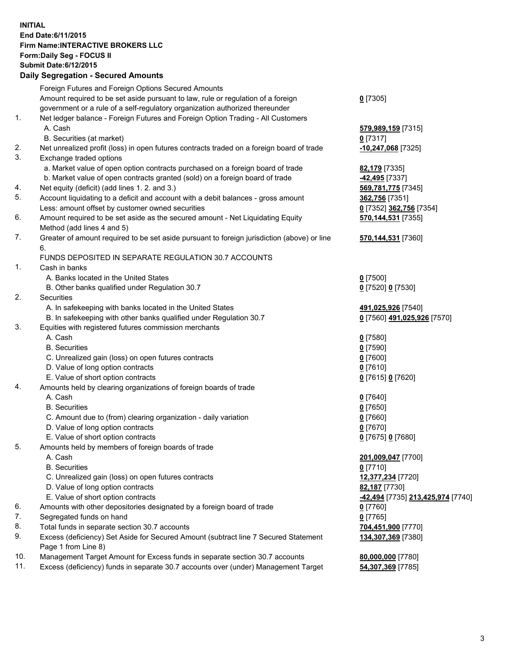## **INITIAL End Date:6/11/2015 Firm Name:INTERACTIVE BROKERS LLC Form:Daily Seg - FOCUS II Submit Date:6/12/2015 Daily Segregation - Secured Amounts**

|                | Daily Jegregation - Jeculed Aniounts                                                        |                                   |
|----------------|---------------------------------------------------------------------------------------------|-----------------------------------|
|                | Foreign Futures and Foreign Options Secured Amounts                                         |                                   |
|                | Amount required to be set aside pursuant to law, rule or regulation of a foreign            | $0$ [7305]                        |
|                | government or a rule of a self-regulatory organization authorized thereunder                |                                   |
| 1.             | Net ledger balance - Foreign Futures and Foreign Option Trading - All Customers             |                                   |
|                | A. Cash                                                                                     | 579,989,159 [7315]                |
|                | B. Securities (at market)                                                                   | $0$ [7317]                        |
| 2.             | Net unrealized profit (loss) in open futures contracts traded on a foreign board of trade   | -10,247,068 [7325]                |
| 3.             | Exchange traded options                                                                     |                                   |
|                | a. Market value of open option contracts purchased on a foreign board of trade              | <b>82,179</b> [7335]              |
|                | b. Market value of open contracts granted (sold) on a foreign board of trade                | -42,495 [7337]                    |
| 4.             | Net equity (deficit) (add lines 1. 2. and 3.)                                               | 569,781,775 [7345]                |
| 5.             | Account liquidating to a deficit and account with a debit balances - gross amount           | 362,756 [7351]                    |
|                | Less: amount offset by customer owned securities                                            | 0 [7352] 362,756 [7354]           |
| 6.             | Amount required to be set aside as the secured amount - Net Liquidating Equity              | 570,144,531 [7355]                |
|                | Method (add lines 4 and 5)                                                                  |                                   |
| 7.             | Greater of amount required to be set aside pursuant to foreign jurisdiction (above) or line | 570,144,531 [7360]                |
|                | 6.                                                                                          |                                   |
|                | FUNDS DEPOSITED IN SEPARATE REGULATION 30.7 ACCOUNTS                                        |                                   |
| $\mathbf{1}$ . | Cash in banks                                                                               |                                   |
|                | A. Banks located in the United States                                                       | $0$ [7500]                        |
|                | B. Other banks qualified under Regulation 30.7                                              | 0 [7520] 0 [7530]                 |
| 2.             | Securities                                                                                  |                                   |
|                | A. In safekeeping with banks located in the United States                                   | 491,025,926 [7540]                |
|                | B. In safekeeping with other banks qualified under Regulation 30.7                          | 0 [7560] 491,025,926 [7570]       |
| 3.             | Equities with registered futures commission merchants                                       |                                   |
|                | A. Cash                                                                                     | $0$ [7580]                        |
|                | <b>B.</b> Securities                                                                        | $0$ [7590]                        |
|                | C. Unrealized gain (loss) on open futures contracts                                         | $0$ [7600]                        |
|                | D. Value of long option contracts                                                           | $0$ [7610]                        |
|                | E. Value of short option contracts                                                          | 0 [7615] 0 [7620]                 |
| 4.             | Amounts held by clearing organizations of foreign boards of trade                           |                                   |
|                | A. Cash                                                                                     | $0$ [7640]                        |
|                | <b>B.</b> Securities                                                                        | $0$ [7650]                        |
|                | C. Amount due to (from) clearing organization - daily variation                             | $0$ [7660]                        |
|                | D. Value of long option contracts                                                           | $0$ [7670]                        |
|                | E. Value of short option contracts                                                          | 0 [7675] 0 [7680]                 |
| 5.             | Amounts held by members of foreign boards of trade                                          |                                   |
|                | A. Cash                                                                                     | 201,009,047 [7700]                |
|                | <b>B.</b> Securities                                                                        | $0$ [7710]                        |
|                | C. Unrealized gain (loss) on open futures contracts                                         | 12,377,234 [7720]                 |
|                | D. Value of long option contracts                                                           | 82,187 [7730]                     |
|                | E. Value of short option contracts                                                          | -42,494 [7735] 213,425,974 [7740] |
| 6.             | Amounts with other depositories designated by a foreign board of trade                      | 0 [7760]                          |
| 7.             | Segregated funds on hand                                                                    | $0$ [7765]                        |
| 8.             | Total funds in separate section 30.7 accounts                                               | 704,451,900 [7770]                |
| 9.             | Excess (deficiency) Set Aside for Secured Amount (subtract line 7 Secured Statement         | 134,307,369 [7380]                |
|                | Page 1 from Line 8)                                                                         |                                   |
| 10.            | Management Target Amount for Excess funds in separate section 30.7 accounts                 | 80,000,000 [7780]                 |
| 11.            | Excess (deficiency) funds in separate 30.7 accounts over (under) Management Target          | 54,307,369 [7785]                 |
|                |                                                                                             |                                   |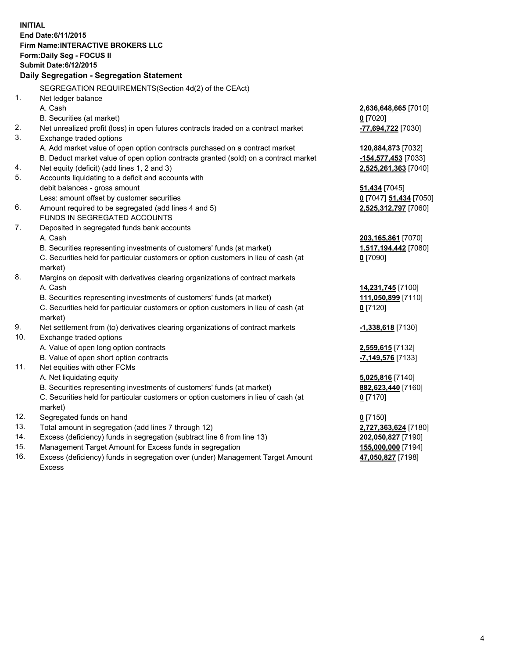**INITIAL End Date:6/11/2015 Firm Name:INTERACTIVE BROKERS LLC Form:Daily Seg - FOCUS II Submit Date:6/12/2015 Daily Segregation - Segregation Statement** SEGREGATION REQUIREMENTS(Section 4d(2) of the CEAct) 1. Net ledger balance A. Cash **2,636,648,665** [7010] B. Securities (at market) **0** [7020] 2. Net unrealized profit (loss) in open futures contracts traded on a contract market **-77,694,722** [7030] 3. Exchange traded options A. Add market value of open option contracts purchased on a contract market **120,884,873** [7032] B. Deduct market value of open option contracts granted (sold) on a contract market **-154,577,453** [7033] 4. Net equity (deficit) (add lines 1, 2 and 3) **2,525,261,363** [7040] 5. Accounts liquidating to a deficit and accounts with debit balances - gross amount **51,434** [7045] Less: amount offset by customer securities **0** [7047] **51,434** [7050] 6. Amount required to be segregated (add lines 4 and 5) **2,525,312,797** [7060] FUNDS IN SEGREGATED ACCOUNTS 7. Deposited in segregated funds bank accounts A. Cash **203,165,861** [7070] B. Securities representing investments of customers' funds (at market) **1,517,194,442** [7080] C. Securities held for particular customers or option customers in lieu of cash (at market) **0** [7090] 8. Margins on deposit with derivatives clearing organizations of contract markets A. Cash **14,231,745** [7100] B. Securities representing investments of customers' funds (at market) **111,050,899** [7110] C. Securities held for particular customers or option customers in lieu of cash (at market) **0** [7120] 9. Net settlement from (to) derivatives clearing organizations of contract markets **-1,338,618** [7130] 10. Exchange traded options A. Value of open long option contracts **2,559,615** [7132] B. Value of open short option contracts **-7,149,576** [7133] 11. Net equities with other FCMs A. Net liquidating equity **5,025,816** [7140] B. Securities representing investments of customers' funds (at market) **882,623,440** [7160] C. Securities held for particular customers or option customers in lieu of cash (at market) **0** [7170] 12. Segregated funds on hand **0** [7150] 13. Total amount in segregation (add lines 7 through 12) **2,727,363,624** [7180] 14. Excess (deficiency) funds in segregation (subtract line 6 from line 13) **202,050,827** [7190] 15. Management Target Amount for Excess funds in segregation **155,000,000** [7194]

16. Excess (deficiency) funds in segregation over (under) Management Target Amount Excess

**47,050,827** [7198]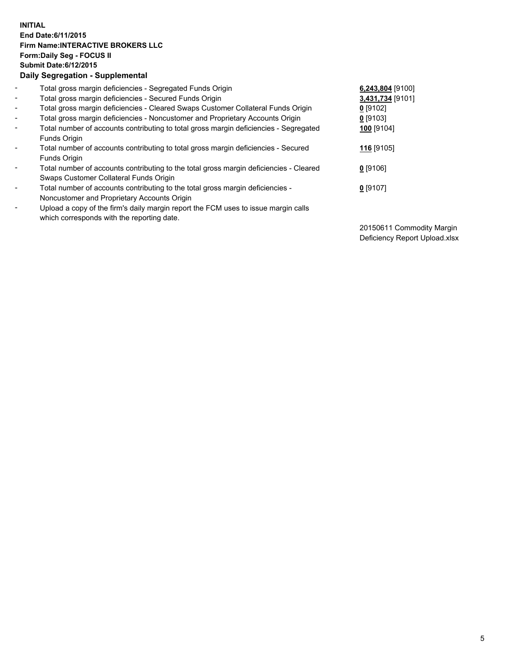## **INITIAL End Date:6/11/2015 Firm Name:INTERACTIVE BROKERS LLC Form:Daily Seg - FOCUS II Submit Date:6/12/2015 Daily Segregation - Supplemental**

| $\blacksquare$           | Total gross margin deficiencies - Segregated Funds Origin                              | 6,243,804 [9100] |
|--------------------------|----------------------------------------------------------------------------------------|------------------|
| $\blacksquare$           | Total gross margin deficiencies - Secured Funds Origin                                 | 3,431,734 [9101] |
| $\overline{\phantom{a}}$ | Total gross margin deficiencies - Cleared Swaps Customer Collateral Funds Origin       | $0$ [9102]       |
| $\blacksquare$           | Total gross margin deficiencies - Noncustomer and Proprietary Accounts Origin          | 0 [9103]         |
| $\blacksquare$           | Total number of accounts contributing to total gross margin deficiencies - Segregated  | 100 [9104]       |
|                          | Funds Origin                                                                           |                  |
| $\blacksquare$           | Total number of accounts contributing to total gross margin deficiencies - Secured     | 116 [9105]       |
|                          | Funds Origin                                                                           |                  |
| $\blacksquare$           | Total number of accounts contributing to the total gross margin deficiencies - Cleared | $0$ [9106]       |
|                          | Swaps Customer Collateral Funds Origin                                                 |                  |
| $\blacksquare$           | Total number of accounts contributing to the total gross margin deficiencies -         | $0$ [9107]       |
|                          | Noncustomer and Proprietary Accounts Origin                                            |                  |
| $\overline{\phantom{a}}$ | Upload a copy of the firm's daily margin report the FCM uses to issue margin calls     |                  |
|                          | which corresponds with the reporting date.                                             |                  |

20150611 Commodity Margin Deficiency Report Upload.xlsx